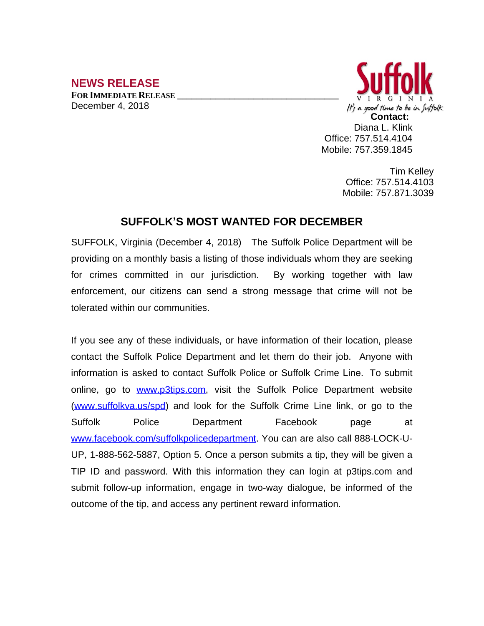## **NEWS RELEASE**

**FOR IMMEDIATE RELEASE \_\_\_\_\_\_\_\_\_\_\_\_\_\_\_\_\_\_\_\_\_\_\_\_\_\_\_\_\_\_\_\_\_\_** December 4, 2018



Diana L. Klink Office: 757.514.4104 Mobile: 757.359.1845

> Tim Kelley Office: 757.514.4103 Mobile: 757.871.3039

## **SUFFOLK'S MOST WANTED FOR DECEMBER**

SUFFOLK, Virginia (December 4, 2018) The Suffolk Police Department will be providing on a monthly basis a listing of those individuals whom they are seeking for crimes committed in our jurisdiction. By working together with law enforcement, our citizens can send a strong message that crime will not be tolerated within our communities.

If you see any of these individuals, or have information of their location, please contact the Suffolk Police Department and let them do their job. Anyone with information is asked to contact Suffolk Police or Suffolk Crime Line. To submit online, go to [www.p3tips.com](http://www.p3tips.com), visit the Suffolk Police Department website ([www.suffolkva.us/spd](http://www.suffolkva.us/spd)) and look for the Suffolk Crime Line link, or go to the Suffolk Police Department Facebook page at [www.facebook.com/suffolkpolicedepartment](http://www.facebook.com/suffolkpolicedepartment). You can are also call 888-LOCK-U-UP, 1-888-562-5887, Option 5. Once a person submits a tip, they will be given a TIP ID and password. With this information they can login at p3tips.com and submit follow-up information, engage in two-way dialogue, be informed of the outcome of the tip, and access any pertinent reward information.